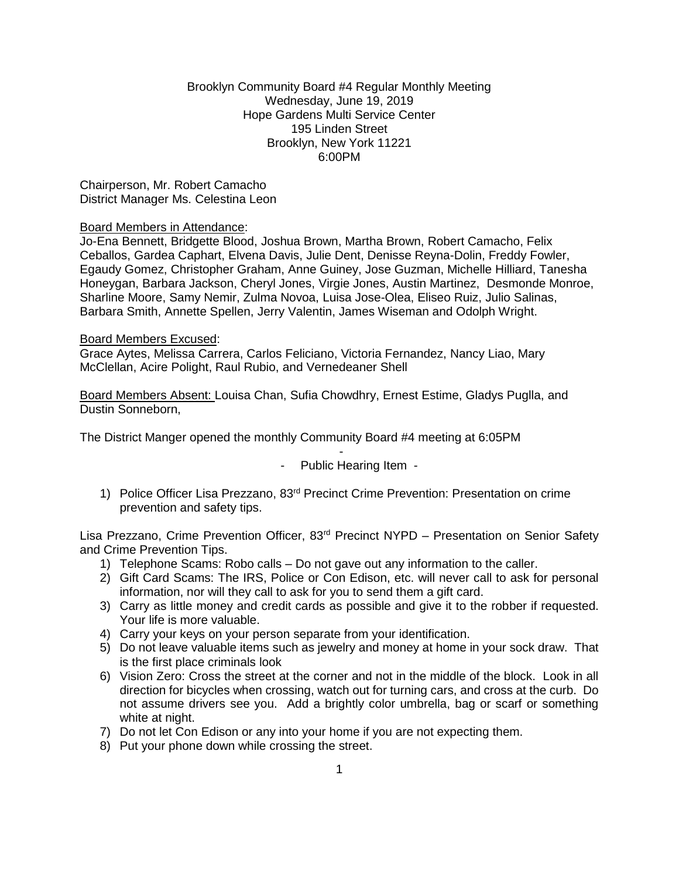## Brooklyn Community Board #4 Regular Monthly Meeting Wednesday, June 19, 2019 Hope Gardens Multi Service Center 195 Linden Street Brooklyn, New York 11221 6:00PM

Chairperson, Mr. Robert Camacho District Manager Ms. Celestina Leon

### Board Members in Attendance:

Jo-Ena Bennett, Bridgette Blood, Joshua Brown, Martha Brown, Robert Camacho, Felix Ceballos, Gardea Caphart, Elvena Davis, Julie Dent, Denisse Reyna-Dolin, Freddy Fowler, Egaudy Gomez, Christopher Graham, Anne Guiney, Jose Guzman, Michelle Hilliard, Tanesha Honeygan, Barbara Jackson, Cheryl Jones, Virgie Jones, Austin Martinez, Desmonde Monroe, Sharline Moore, Samy Nemir, Zulma Novoa, Luisa Jose-Olea, Eliseo Ruiz, Julio Salinas, Barbara Smith, Annette Spellen, Jerry Valentin, James Wiseman and Odolph Wright.

### Board Members Excused:

Grace Aytes, Melissa Carrera, Carlos Feliciano, Victoria Fernandez, Nancy Liao, Mary McClellan, Acire Polight, Raul Rubio, and Vernedeaner Shell

Board Members Absent: Louisa Chan, Sufia Chowdhry, Ernest Estime, Gladys Puglla, and Dustin Sonneborn,

The District Manger opened the monthly Community Board #4 meeting at 6:05PM

- Public Hearing Item -

-

1) Police Officer Lisa Prezzano, 83<sup>rd</sup> Precinct Crime Prevention: Presentation on crime prevention and safety tips.

Lisa Prezzano, Crime Prevention Officer, 83rd Precinct NYPD – Presentation on Senior Safety and Crime Prevention Tips.

- 1) Telephone Scams: Robo calls Do not gave out any information to the caller.
- 2) Gift Card Scams: The IRS, Police or Con Edison, etc. will never call to ask for personal information, nor will they call to ask for you to send them a gift card.
- 3) Carry as little money and credit cards as possible and give it to the robber if requested. Your life is more valuable.
- 4) Carry your keys on your person separate from your identification.
- 5) Do not leave valuable items such as jewelry and money at home in your sock draw. That is the first place criminals look
- 6) Vision Zero: Cross the street at the corner and not in the middle of the block. Look in all direction for bicycles when crossing, watch out for turning cars, and cross at the curb. Do not assume drivers see you. Add a brightly color umbrella, bag or scarf or something white at night.
- 7) Do not let Con Edison or any into your home if you are not expecting them.
- 8) Put your phone down while crossing the street.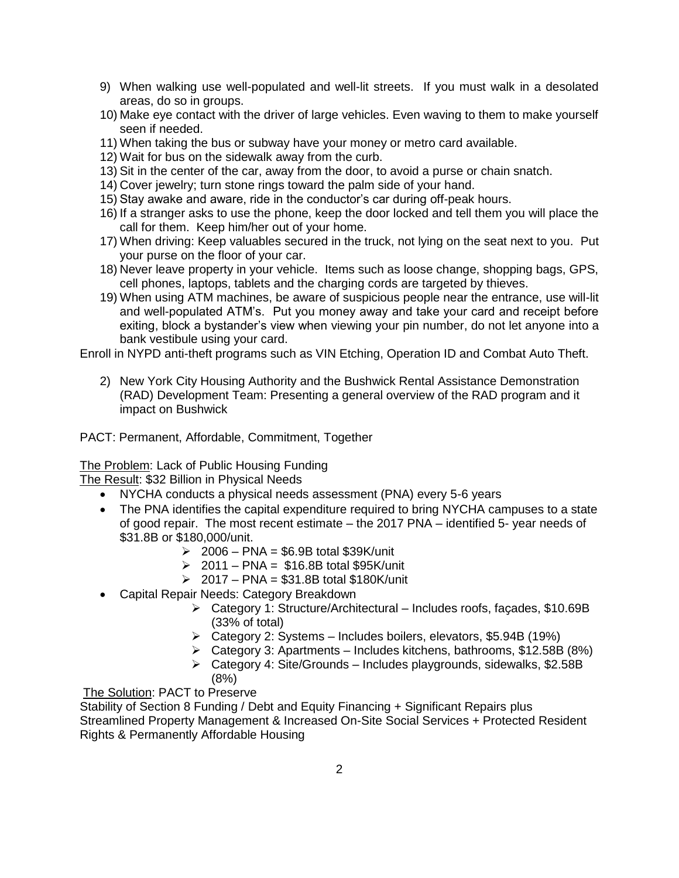- 9) When walking use well-populated and well-lit streets. If you must walk in a desolated areas, do so in groups.
- 10) Make eye contact with the driver of large vehicles. Even waving to them to make yourself seen if needed.
- 11) When taking the bus or subway have your money or metro card available.
- 12) Wait for bus on the sidewalk away from the curb.
- 13) Sit in the center of the car, away from the door, to avoid a purse or chain snatch.
- 14) Cover jewelry; turn stone rings toward the palm side of your hand.
- 15) Stay awake and aware, ride in the conductor's car during off-peak hours.
- 16) If a stranger asks to use the phone, keep the door locked and tell them you will place the call for them. Keep him/her out of your home.
- 17) When driving: Keep valuables secured in the truck, not lying on the seat next to you. Put your purse on the floor of your car.
- 18) Never leave property in your vehicle. Items such as loose change, shopping bags, GPS, cell phones, laptops, tablets and the charging cords are targeted by thieves.
- 19) When using ATM machines, be aware of suspicious people near the entrance, use will-lit and well-populated ATM's. Put you money away and take your card and receipt before exiting, block a bystander's view when viewing your pin number, do not let anyone into a bank vestibule using your card.

Enroll in NYPD anti-theft programs such as VIN Etching, Operation ID and Combat Auto Theft.

2) New York City Housing Authority and the Bushwick Rental Assistance Demonstration (RAD) Development Team: Presenting a general overview of the RAD program and it impact on Bushwick

PACT: Permanent, Affordable, Commitment, Together

The Problem: Lack of Public Housing Funding

The Result: \$32 Billion in Physical Needs

- NYCHA conducts a physical needs assessment (PNA) every 5-6 years
- The PNA identifies the capital expenditure required to bring NYCHA campuses to a state of good repair. The most recent estimate – the 2017 PNA – identified 5- year needs of \$31.8B or \$180,000/unit.
	- $\geq 2006$  PNA = \$6.9B total \$39K/unit
	- $\geq 2011$  PNA = \$16.8B total \$95K/unit
	- $\ge 2017 PNA = $31.8B$  total \$180K/unit
- Capital Repair Needs: Category Breakdown
	- Category 1: Structure/Architectural Includes roofs, faҫades, \$10.69B (33% of total)
	- Category 2: Systems Includes boilers, elevators, \$5.94B (19%)
	- $\triangleright$  Category 3: Apartments Includes kitchens, bathrooms, \$12.58B (8%)
	- $\triangleright$  Category 4: Site/Grounds Includes playgrounds, sidewalks, \$2.58B (8%)

The Solution: PACT to Preserve

Stability of Section 8 Funding / Debt and Equity Financing + Significant Repairs plus Streamlined Property Management & Increased On-Site Social Services + Protected Resident Rights & Permanently Affordable Housing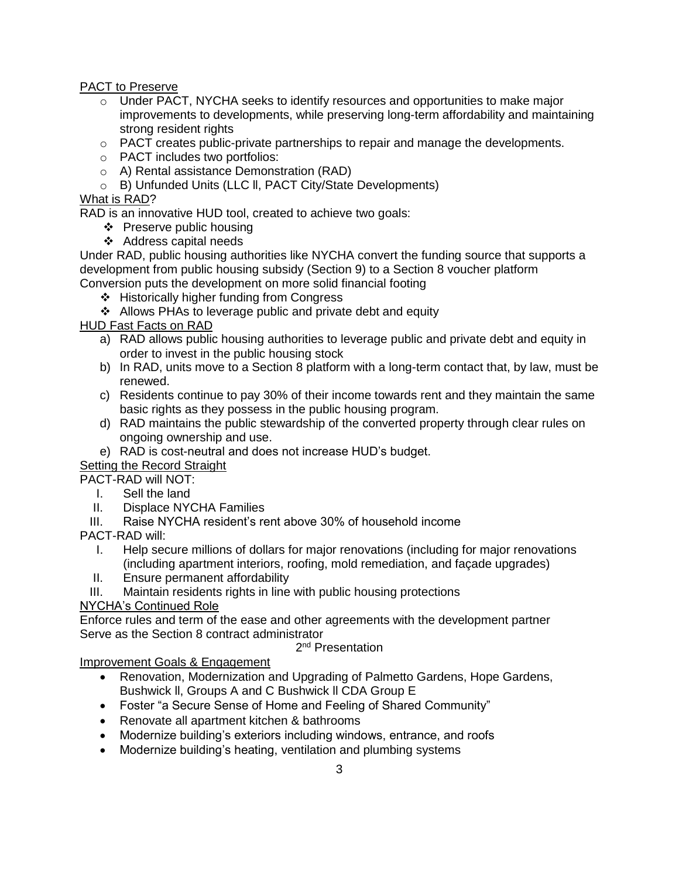PACT to Preserve

- $\circ$  Under PACT, NYCHA seeks to identify resources and opportunities to make major improvements to developments, while preserving long-term affordability and maintaining strong resident rights
- o PACT creates public-private partnerships to repair and manage the developments.
- o PACT includes two portfolios:
- o A) Rental assistance Demonstration (RAD)
- o B) Unfunded Units (LLC ll, PACT City/State Developments)

# What is RAD?

RAD is an innovative HUD tool, created to achieve two goals:

- ❖ Preserve public housing
- ❖ Address capital needs

Under RAD, public housing authorities like NYCHA convert the funding source that supports a development from public housing subsidy (Section 9) to a Section 8 voucher platform Conversion puts the development on more solid financial footing

- ❖ Historically higher funding from Congress
- ❖ Allows PHAs to leverage public and private debt and equity

HUD Fast Facts on RAD

- a) RAD allows public housing authorities to leverage public and private debt and equity in order to invest in the public housing stock
- b) In RAD, units move to a Section 8 platform with a long-term contact that, by law, must be renewed.
- c) Residents continue to pay 30% of their income towards rent and they maintain the same basic rights as they possess in the public housing program.
- d) RAD maintains the public stewardship of the converted property through clear rules on ongoing ownership and use.
- e) RAD is cost-neutral and does not increase HUD's budget.

Setting the Record Straight

PACT-RAD will NOT:

- I. Sell the land
- II. Displace NYCHA Families
- III. Raise NYCHA resident's rent above 30% of household income

PACT-RAD will:

- I. Help secure millions of dollars for major renovations (including for major renovations (including apartment interiors, roofing, mold remediation, and façade upgrades)
- II. Ensure permanent affordability
- III. Maintain residents rights in line with public housing protections

# NYCHA's Continued Role

Enforce rules and term of the ease and other agreements with the development partner Serve as the Section 8 contract administrator

2<sup>nd</sup> Presentation

Improvement Goals & Engagement

- Renovation, Modernization and Upgrading of Palmetto Gardens, Hope Gardens, Bushwick ll, Groups A and C Bushwick ll CDA Group E
- Foster "a Secure Sense of Home and Feeling of Shared Community"
- Renovate all apartment kitchen & bathrooms
- Modernize building's exteriors including windows, entrance, and roofs
- Modernize building's heating, ventilation and plumbing systems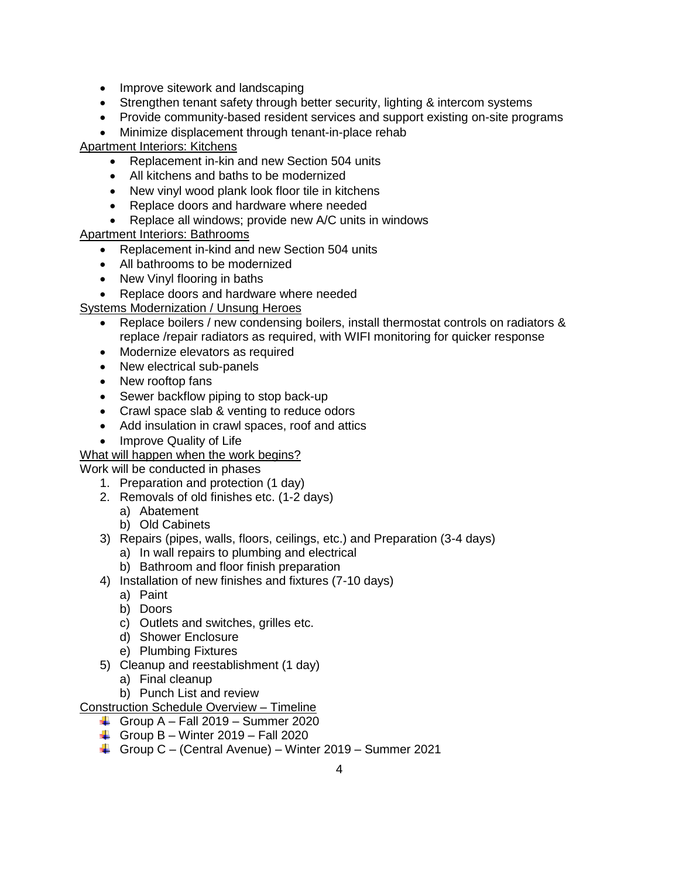- Improve sitework and landscaping
- Strengthen tenant safety through better security, lighting & intercom systems
- Provide community-based resident services and support existing on-site programs
- Minimize displacement through tenant-in-place rehab

# Apartment Interiors: Kitchens

- Replacement in-kin and new Section 504 units
- All kitchens and baths to be modernized
- New vinyl wood plank look floor tile in kitchens
- Replace doors and hardware where needed
- Replace all windows; provide new A/C units in windows

# Apartment Interiors: Bathrooms

- Replacement in-kind and new Section 504 units
- All bathrooms to be modernized
- New Vinyl flooring in baths
- Replace doors and hardware where needed

# Systems Modernization / Unsung Heroes

- Replace boilers / new condensing boilers, install thermostat controls on radiators & replace /repair radiators as required, with WIFI monitoring for quicker response
- Modernize elevators as required
- New electrical sub-panels
- New rooftop fans
- Sewer backflow piping to stop back-up
- Crawl space slab & venting to reduce odors
- Add insulation in crawl spaces, roof and attics
- Improve Quality of Life

# What will happen when the work begins?

Work will be conducted in phases

- 1. Preparation and protection (1 day)
- 2. Removals of old finishes etc. (1-2 days)
	- a) Abatement
	- b) Old Cabinets
- 3) Repairs (pipes, walls, floors, ceilings, etc.) and Preparation (3-4 days)
	- a) In wall repairs to plumbing and electrical
	- b) Bathroom and floor finish preparation
- 4) Installation of new finishes and fixtures (7-10 days)
	- a) Paint
	- b) Doors
	- c) Outlets and switches, grilles etc.
	- d) Shower Enclosure
	- e) Plumbing Fixtures
- 5) Cleanup and reestablishment (1 day)
	- a) Final cleanup
	- b) Punch List and review

Construction Schedule Overview – Timeline

- Group A Fall 2019 Summer 2020
- Group B Winter 2019 Fall 2020
- Group  $C -$  (Central Avenue) Winter 2019 Summer 2021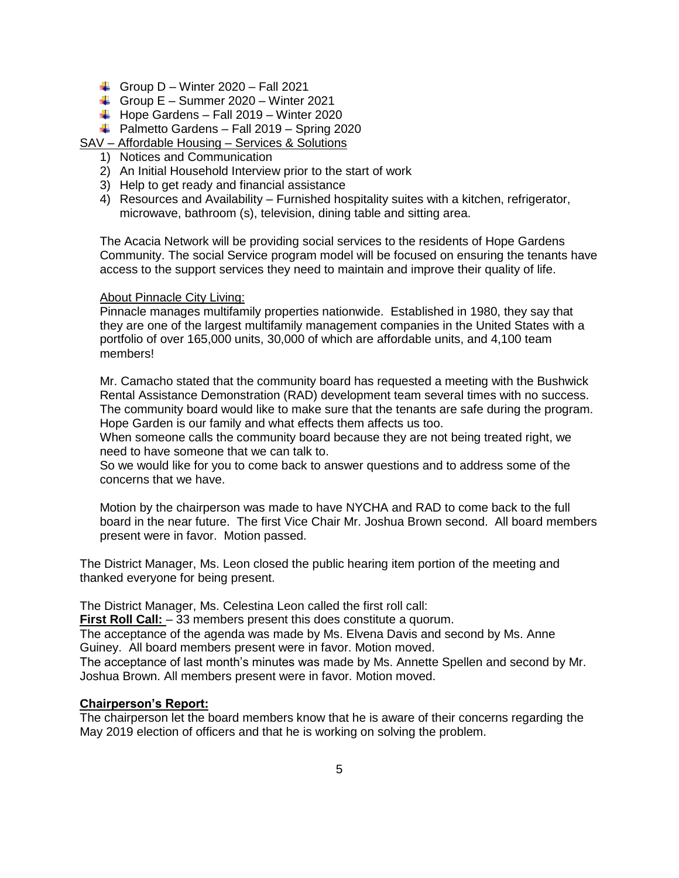- Group D Winter 2020 Fall 2021
- Group  $E -$  Summer 2020 Winter 2021
- $\downarrow$  Hope Gardens Fall 2019 Winter 2020
- $\bigoplus$  Palmetto Gardens Fall 2019 Spring 2020
- SAV Affordable Housing Services & Solutions
	- 1) Notices and Communication
	- 2) An Initial Household Interview prior to the start of work
	- 3) Help to get ready and financial assistance
	- 4) Resources and Availability Furnished hospitality suites with a kitchen, refrigerator, microwave, bathroom (s), television, dining table and sitting area.

The Acacia Network will be providing social services to the residents of Hope Gardens Community. The social Service program model will be focused on ensuring the tenants have access to the support services they need to maintain and improve their quality of life.

### **About Pinnacle City Living:**

Pinnacle manages multifamily properties nationwide. Established in 1980, they say that they are one of the largest multifamily management companies in the United States with a portfolio of over 165,000 units, 30,000 of which are affordable units, and 4,100 team members!

Mr. Camacho stated that the community board has requested a meeting with the Bushwick Rental Assistance Demonstration (RAD) development team several times with no success. The community board would like to make sure that the tenants are safe during the program. Hope Garden is our family and what effects them affects us too.

When someone calls the community board because they are not being treated right, we need to have someone that we can talk to.

So we would like for you to come back to answer questions and to address some of the concerns that we have.

Motion by the chairperson was made to have NYCHA and RAD to come back to the full board in the near future. The first Vice Chair Mr. Joshua Brown second. All board members present were in favor. Motion passed.

The District Manager, Ms. Leon closed the public hearing item portion of the meeting and thanked everyone for being present.

The District Manager, Ms. Celestina Leon called the first roll call:

**First Roll Call:** - 33 members present this does constitute a quorum.

The acceptance of the agenda was made by Ms. Elvena Davis and second by Ms. Anne Guiney. All board members present were in favor. Motion moved.

The acceptance of last month's minutes was made by Ms. Annette Spellen and second by Mr. Joshua Brown. All members present were in favor. Motion moved.

#### **Chairperson's Report:**

The chairperson let the board members know that he is aware of their concerns regarding the May 2019 election of officers and that he is working on solving the problem.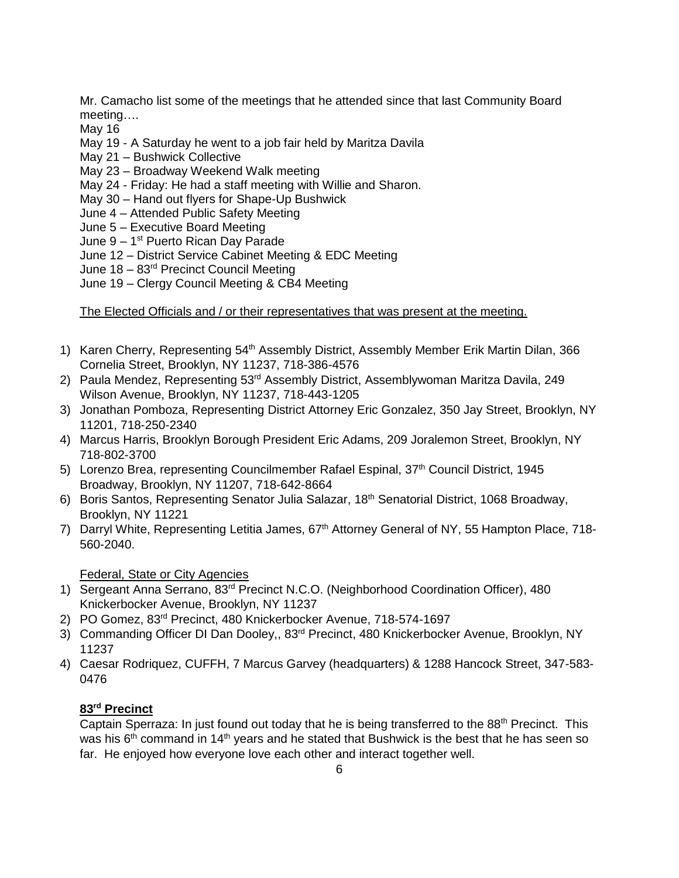Mr. Camacho list some of the meetings that he attended since that last Community Board meeting….

May 16

- May 19 A Saturday he went to a job fair held by Maritza Davila
- May 21 Bushwick Collective
- May 23 Broadway Weekend Walk meeting
- May 24 Friday: He had a staff meeting with Willie and Sharon.
- May 30 Hand out flyers for Shape-Up Bushwick
- June 4 Attended Public Safety Meeting
- June 5 Executive Board Meeting
- June 9 1<sup>st</sup> Puerto Rican Day Parade
- June 12 District Service Cabinet Meeting & EDC Meeting
- June 18 83rd Precinct Council Meeting
- June 19 Clergy Council Meeting & CB4 Meeting

The Elected Officials and / or their representatives that was present at the meeting.

- 1) Karen Cherry, Representing 54<sup>th</sup> Assembly District, Assembly Member Erik Martin Dilan, 366 Cornelia Street, Brooklyn, NY 11237, 718-386-4576
- 2) Paula Mendez, Representing 53rd Assembly District, Assemblywoman Maritza Davila, 249 Wilson Avenue, Brooklyn, NY 11237, 718-443-1205
- 3) Jonathan Pomboza, Representing District Attorney Eric Gonzalez, 350 Jay Street, Brooklyn, NY 11201, 718-250-2340
- 4) Marcus Harris, Brooklyn Borough President Eric Adams, 209 Joralemon Street, Brooklyn, NY 718-802-3700
- 5) Lorenzo Brea, representing Councilmember Rafael Espinal, 37<sup>th</sup> Council District, 1945 Broadway, Brooklyn, NY 11207, 718-642-8664
- 6) Boris Santos, Representing Senator Julia Salazar, 18th Senatorial District, 1068 Broadway, Brooklyn, NY 11221
- 7) Darryl White, Representing Letitia James, 67<sup>th</sup> Attorney General of NY, 55 Hampton Place, 718-560-2040.

Federal, State or City Agencies

- 1) Sergeant Anna Serrano, 83<sup>rd</sup> Precinct N.C.O. (Neighborhood Coordination Officer), 480 Knickerbocker Avenue, Brooklyn, NY 11237
- 2) PO Gomez, 83rd Precinct, 480 Knickerbocker Avenue, 718-574-1697
- 3) Commanding Officer DI Dan Dooley,, 83<sup>rd</sup> Precinct, 480 Knickerbocker Avenue, Brooklyn, NY 11237
- 4) Caesar Rodriquez, CUFFH, 7 Marcus Garvey (headquarters) & 1288 Hancock Street, 347-583- 0476

# **83rd Precinct**

Captain Sperraza: In just found out today that he is being transferred to the 88<sup>th</sup> Precinct. This was his  $6<sup>th</sup>$  command in 14<sup>th</sup> years and he stated that Bushwick is the best that he has seen so far. He enjoyed how everyone love each other and interact together well.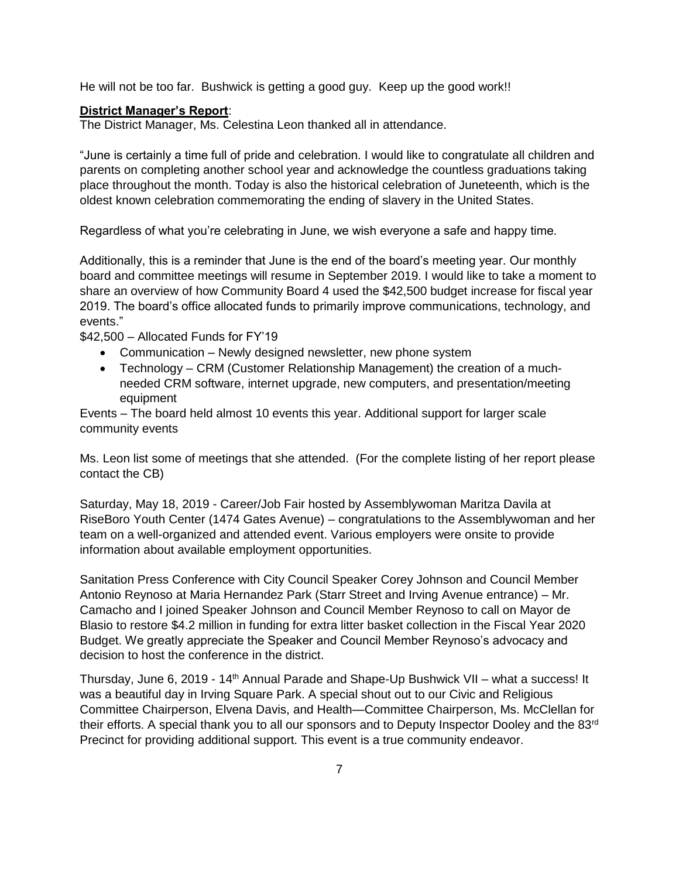He will not be too far. Bushwick is getting a good guy. Keep up the good work!!

## **District Manager's Report**:

The District Manager, Ms. Celestina Leon thanked all in attendance.

"June is certainly a time full of pride and celebration. I would like to congratulate all children and parents on completing another school year and acknowledge the countless graduations taking place throughout the month. Today is also the historical celebration of Juneteenth, which is the oldest known celebration commemorating the ending of slavery in the United States.

Regardless of what you're celebrating in June, we wish everyone a safe and happy time.

Additionally, this is a reminder that June is the end of the board's meeting year. Our monthly board and committee meetings will resume in September 2019. I would like to take a moment to share an overview of how Community Board 4 used the \$42,500 budget increase for fiscal year 2019. The board's office allocated funds to primarily improve communications, technology, and events."

\$42,500 – Allocated Funds for FY'19

- Communication Newly designed newsletter, new phone system
- Technology CRM (Customer Relationship Management) the creation of a muchneeded CRM software, internet upgrade, new computers, and presentation/meeting equipment

Events – The board held almost 10 events this year. Additional support for larger scale community events

Ms. Leon list some of meetings that she attended. (For the complete listing of her report please contact the CB)

Saturday, May 18, 2019 - Career/Job Fair hosted by Assemblywoman Maritza Davila at RiseBoro Youth Center (1474 Gates Avenue) – congratulations to the Assemblywoman and her team on a well-organized and attended event. Various employers were onsite to provide information about available employment opportunities.

Sanitation Press Conference with City Council Speaker Corey Johnson and Council Member Antonio Reynoso at Maria Hernandez Park (Starr Street and Irving Avenue entrance) – Mr. Camacho and I joined Speaker Johnson and Council Member Reynoso to call on Mayor de Blasio to restore \$4.2 million in funding for extra litter basket collection in the Fiscal Year 2020 Budget. We greatly appreciate the Speaker and Council Member Reynoso's advocacy and decision to host the conference in the district.

Thursday, June 6, 2019 - 14<sup>th</sup> Annual Parade and Shape-Up Bushwick VII – what a success! It was a beautiful day in Irving Square Park. A special shout out to our Civic and Religious Committee Chairperson, Elvena Davis, and Health—Committee Chairperson, Ms. McClellan for their efforts. A special thank you to all our sponsors and to Deputy Inspector Dooley and the 83rd Precinct for providing additional support. This event is a true community endeavor.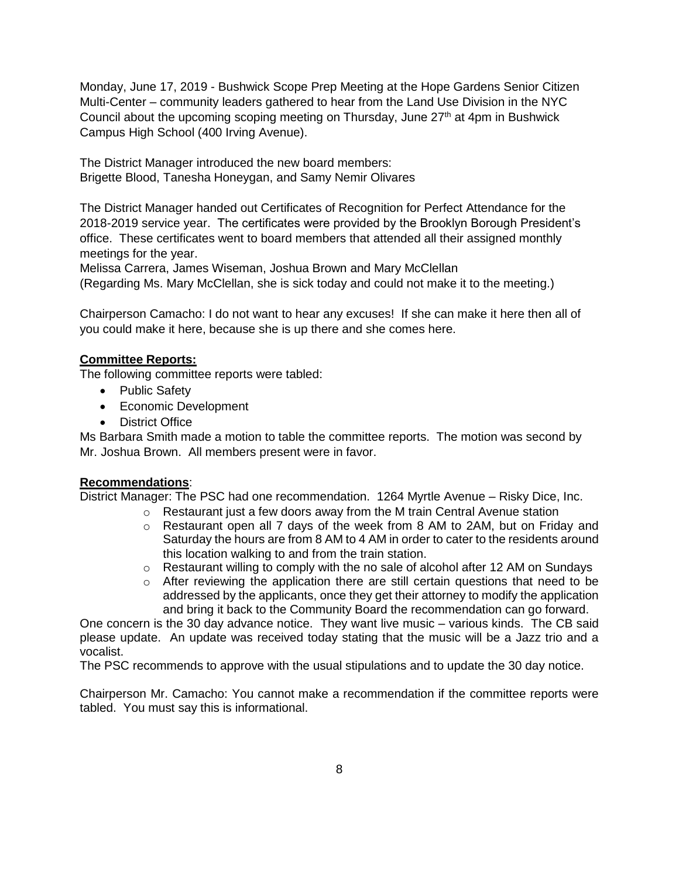Monday, June 17, 2019 - Bushwick Scope Prep Meeting at the Hope Gardens Senior Citizen Multi-Center – community leaders gathered to hear from the Land Use Division in the NYC Council about the upcoming scoping meeting on Thursday, June  $27<sup>th</sup>$  at 4pm in Bushwick Campus High School (400 Irving Avenue).

The District Manager introduced the new board members: Brigette Blood, Tanesha Honeygan, and Samy Nemir Olivares

The District Manager handed out Certificates of Recognition for Perfect Attendance for the 2018-2019 service year. The certificates were provided by the Brooklyn Borough President's office. These certificates went to board members that attended all their assigned monthly meetings for the year.

Melissa Carrera, James Wiseman, Joshua Brown and Mary McClellan

(Regarding Ms. Mary McClellan, she is sick today and could not make it to the meeting.)

Chairperson Camacho: I do not want to hear any excuses! If she can make it here then all of you could make it here, because she is up there and she comes here.

# **Committee Reports:**

The following committee reports were tabled:

- Public Safety
- Economic Development
- District Office

Ms Barbara Smith made a motion to table the committee reports. The motion was second by Mr. Joshua Brown. All members present were in favor.

# **Recommendations**:

District Manager: The PSC had one recommendation. 1264 Myrtle Avenue – Risky Dice, Inc.

- $\circ$  Restaurant just a few doors away from the M train Central Avenue station
- o Restaurant open all 7 days of the week from 8 AM to 2AM, but on Friday and Saturday the hours are from 8 AM to 4 AM in order to cater to the residents around this location walking to and from the train station.
- $\circ$  Restaurant willing to comply with the no sale of alcohol after 12 AM on Sundays
- $\circ$  After reviewing the application there are still certain questions that need to be addressed by the applicants, once they get their attorney to modify the application and bring it back to the Community Board the recommendation can go forward.

One concern is the 30 day advance notice. They want live music – various kinds. The CB said please update. An update was received today stating that the music will be a Jazz trio and a vocalist.

The PSC recommends to approve with the usual stipulations and to update the 30 day notice.

Chairperson Mr. Camacho: You cannot make a recommendation if the committee reports were tabled. You must say this is informational.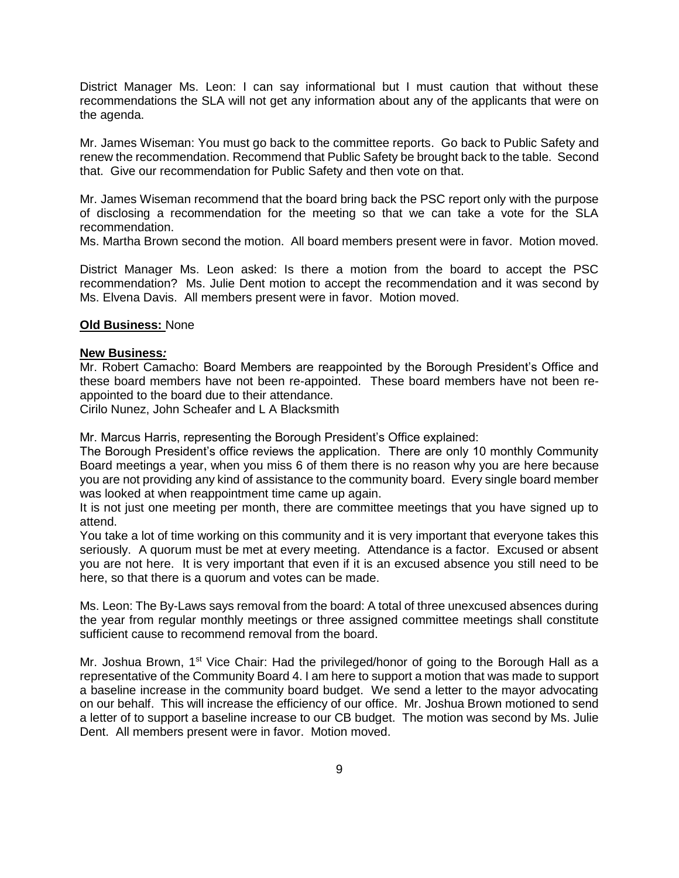District Manager Ms. Leon: I can say informational but I must caution that without these recommendations the SLA will not get any information about any of the applicants that were on the agenda.

Mr. James Wiseman: You must go back to the committee reports. Go back to Public Safety and renew the recommendation. Recommend that Public Safety be brought back to the table. Second that. Give our recommendation for Public Safety and then vote on that.

Mr. James Wiseman recommend that the board bring back the PSC report only with the purpose of disclosing a recommendation for the meeting so that we can take a vote for the SLA recommendation.

Ms. Martha Brown second the motion. All board members present were in favor. Motion moved.

District Manager Ms. Leon asked: Is there a motion from the board to accept the PSC recommendation? Ms. Julie Dent motion to accept the recommendation and it was second by Ms. Elvena Davis. All members present were in favor. Motion moved.

### **Old Business:** None

### **New Business***:*

Mr. Robert Camacho: Board Members are reappointed by the Borough President's Office and these board members have not been re-appointed. These board members have not been reappointed to the board due to their attendance.

Cirilo Nunez, John Scheafer and L A Blacksmith

Mr. Marcus Harris, representing the Borough President's Office explained:

The Borough President's office reviews the application. There are only 10 monthly Community Board meetings a year, when you miss 6 of them there is no reason why you are here because you are not providing any kind of assistance to the community board. Every single board member was looked at when reappointment time came up again.

It is not just one meeting per month, there are committee meetings that you have signed up to attend.

You take a lot of time working on this community and it is very important that everyone takes this seriously. A quorum must be met at every meeting. Attendance is a factor. Excused or absent you are not here. It is very important that even if it is an excused absence you still need to be here, so that there is a quorum and votes can be made.

Ms. Leon: The By-Laws says removal from the board: A total of three unexcused absences during the year from regular monthly meetings or three assigned committee meetings shall constitute sufficient cause to recommend removal from the board.

Mr. Joshua Brown, 1<sup>st</sup> Vice Chair: Had the privileged/honor of going to the Borough Hall as a representative of the Community Board 4. I am here to support a motion that was made to support a baseline increase in the community board budget. We send a letter to the mayor advocating on our behalf. This will increase the efficiency of our office. Mr. Joshua Brown motioned to send a letter of to support a baseline increase to our CB budget. The motion was second by Ms. Julie Dent. All members present were in favor. Motion moved.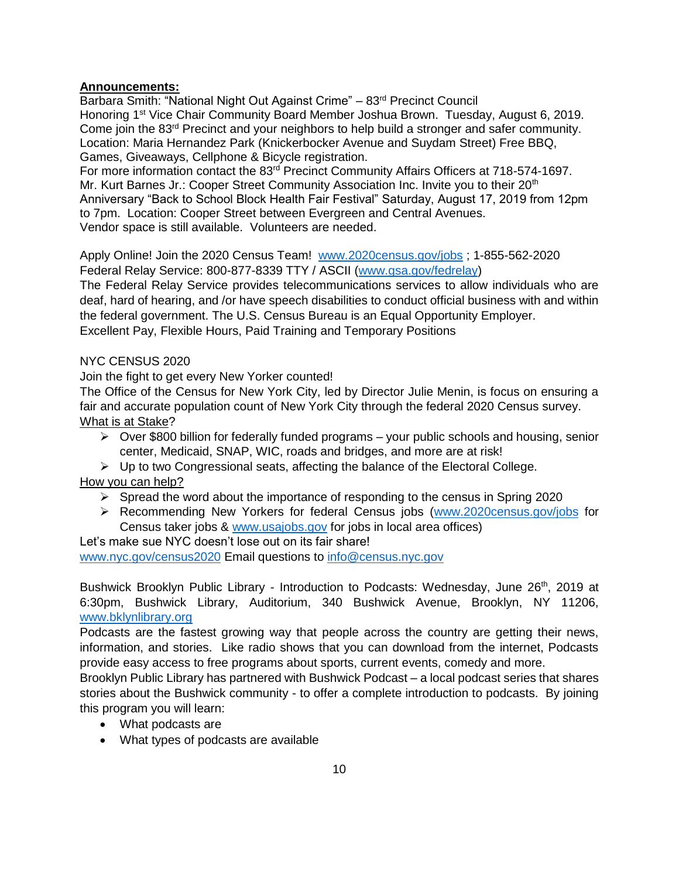## **Announcements:**

Barbara Smith: "National Night Out Against Crime" – 83<sup>rd</sup> Precinct Council Honoring 1st Vice Chair Community Board Member Joshua Brown. Tuesday, August 6, 2019. Come join the 83rd Precinct and your neighbors to help build a stronger and safer community. Location: Maria Hernandez Park (Knickerbocker Avenue and Suydam Street) Free BBQ, Games, Giveaways, Cellphone & Bicycle registration.

For more information contact the 83<sup>rd</sup> Precinct Community Affairs Officers at 718-574-1697. Mr. Kurt Barnes Jr.: Cooper Street Community Association Inc. Invite you to their 20<sup>th</sup> Anniversary "Back to School Block Health Fair Festival" Saturday, August 17, 2019 from 12pm to 7pm. Location: Cooper Street between Evergreen and Central Avenues. Vendor space is still available. Volunteers are needed.

Apply Online! Join the 2020 Census Team! [www.2020census.gov/jobs](http://www.2020census.gov/jobs) ; 1-855-562-2020 Federal Relay Service: 800-877-8339 TTY / ASCII [\(www.gsa.gov/fedrelay\)](http://www.gsa.gov/fedrelay)

The Federal Relay Service provides telecommunications services to allow individuals who are deaf, hard of hearing, and /or have speech disabilities to conduct official business with and within the federal government. The U.S. Census Bureau is an Equal Opportunity Employer. Excellent Pay, Flexible Hours, Paid Training and Temporary Positions

# NYC CENSUS 2020

Join the fight to get every New Yorker counted!

The Office of the Census for New York City, led by Director Julie Menin, is focus on ensuring a fair and accurate population count of New York City through the federal 2020 Census survey. What is at Stake?

- $\triangleright$  Over \$800 billion for federally funded programs your public schools and housing, senior center, Medicaid, SNAP, WIC, roads and bridges, and more are at risk!
- $\triangleright$  Up to two Congressional seats, affecting the balance of the Electoral College. How you can help?
- - $\triangleright$  Spread the word about the importance of responding to the census in Spring 2020
	- Recommending New Yorkers for federal Census jobs [\(www.2020census.gov/jobs](http://www.2020census.gov/jobs) for Census taker jobs & [www.usajobs.gov](http://www.usajobs.gov/) for jobs in local area offices)

Let's make sue NYC doesn't lose out on its fair share!

[www.nyc.gov/census2020](http://www.nyc.gov/census2020) Email questions to [info@census.nyc.gov](mailto:info@census.nyc.gov) 

Bushwick Brooklyn Public Library - Introduction to Podcasts: Wednesday, June 26<sup>th</sup>, 2019 at 6:30pm, Bushwick Library, Auditorium, 340 Bushwick Avenue, Brooklyn, NY 11206, [www.bklynlibrary.org](http://www.bklynlibrary.org/) 

Podcasts are the fastest growing way that people across the country are getting their news, information, and stories. Like radio shows that you can download from the internet, Podcasts provide easy access to free programs about sports, current events, comedy and more.

Brooklyn Public Library has partnered with Bushwick Podcast – a local podcast series that shares stories about the Bushwick community - to offer a complete introduction to podcasts. By joining this program you will learn:

- What podcasts are
- What types of podcasts are available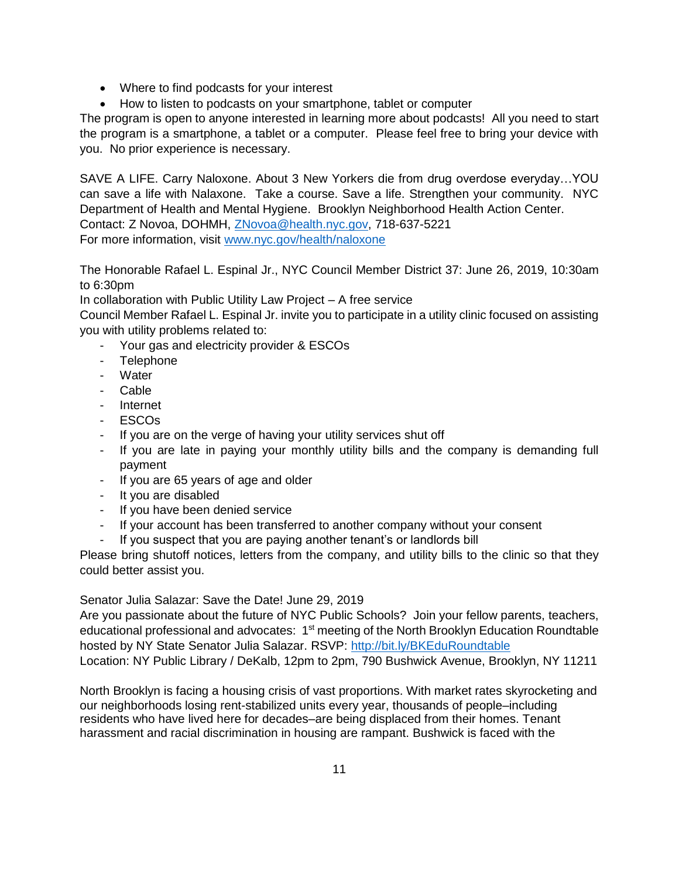- Where to find podcasts for your interest
- How to listen to podcasts on your smartphone, tablet or computer

The program is open to anyone interested in learning more about podcasts! All you need to start the program is a smartphone, a tablet or a computer. Please feel free to bring your device with you. No prior experience is necessary.

SAVE A LIFE. Carry Naloxone. About 3 New Yorkers die from drug overdose everyday…YOU can save a life with Nalaxone. Take a course. Save a life. Strengthen your community. NYC Department of Health and Mental Hygiene. Brooklyn Neighborhood Health Action Center. Contact: Z Novoa, DOHMH, [ZNovoa@health.nyc.gov,](mailto:ZNovoa@health.nyc.gov) 718-637-5221 For more information, visit [www.nyc.gov/health/naloxone](http://www.nyc.gov/health/naloxone) 

The Honorable Rafael L. Espinal Jr., NYC Council Member District 37: June 26, 2019, 10:30am to 6:30pm

In collaboration with Public Utility Law Project – A free service

Council Member Rafael L. Espinal Jr. invite you to participate in a utility clinic focused on assisting you with utility problems related to:

- Your gas and electricity provider & ESCOs
- Telephone
- Water
- Cable
- Internet
- ESCOs
- If you are on the verge of having your utility services shut off
- If you are late in paying your monthly utility bills and the company is demanding full payment
- If you are 65 years of age and older
- It you are disabled
- If you have been denied service
- If your account has been transferred to another company without your consent
- If you suspect that you are paying another tenant's or landlords bill

Please bring shutoff notices, letters from the company, and utility bills to the clinic so that they could better assist you.

Senator Julia Salazar: Save the Date! June 29, 2019

Are you passionate about the future of NYC Public Schools? Join your fellow parents, teachers, educational professional and advocates:  $1<sup>st</sup>$  meeting of the North Brooklyn Education Roundtable hosted by NY State Senator Julia Salazar. RSVP:<http://bit.ly/BKEduRoundtable> Location: NY Public Library / DeKalb, 12pm to 2pm, 790 Bushwick Avenue, Brooklyn, NY 11211

North Brooklyn is facing a housing crisis of vast proportions. With market rates skyrocketing and our neighborhoods losing rent-stabilized units every year, thousands of people–including residents who have lived here for decades–are being displaced from their homes. Tenant harassment and racial discrimination in housing are rampant. Bushwick is faced with the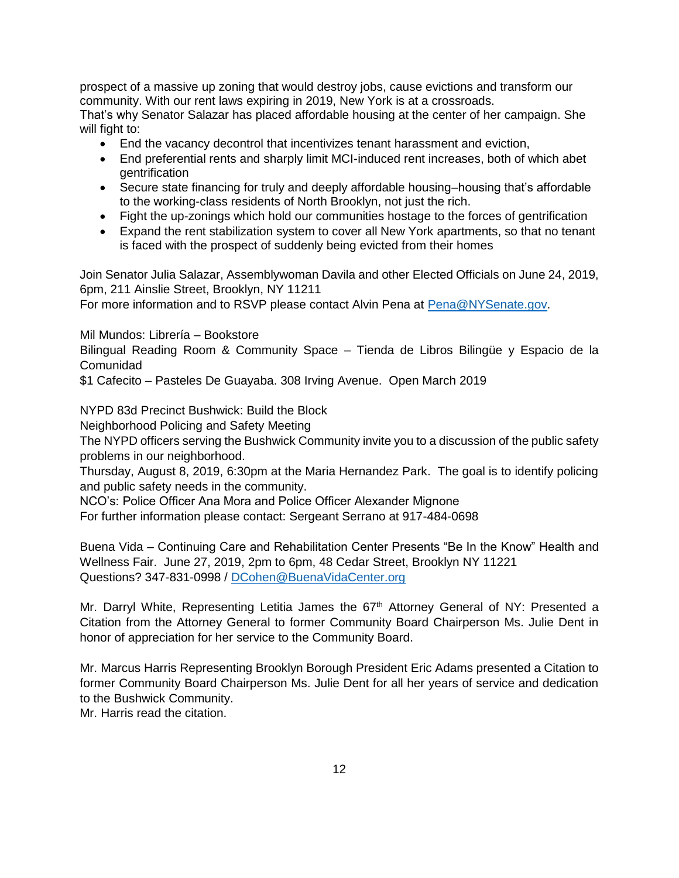prospect of a massive up zoning that would destroy jobs, cause evictions and transform our community. With our rent laws expiring in 2019, New York is at a crossroads.

That's why Senator Salazar has placed affordable housing at the center of her campaign. She will fight to:

- End the vacancy decontrol that incentivizes tenant harassment and eviction,
- End preferential rents and sharply limit MCI-induced rent increases, both of which abet gentrification
- Secure state financing for truly and deeply affordable housing–housing that's affordable to the working-class residents of North Brooklyn, not just the rich.
- Fight the up-zonings which hold our communities hostage to the forces of gentrification
- Expand the rent stabilization system to cover all New York apartments, so that no tenant is faced with the prospect of suddenly being evicted from their homes

Join Senator Julia Salazar, Assemblywoman Davila and other Elected Officials on June 24, 2019, 6pm, 211 Ainslie Street, Brooklyn, NY 11211

For more information and to RSVP please contact Alvin Pena at **Pena@NYSenate.gov**.

Mil Mundos: Librería – Bookstore

Bilingual Reading Room & Community Space – Tienda de Libros Bilingüe y Espacio de la Comunidad

\$1 Cafecito – Pasteles De Guayaba. 308 Irving Avenue. Open March 2019

NYPD 83d Precinct Bushwick: Build the Block

Neighborhood Policing and Safety Meeting

The NYPD officers serving the Bushwick Community invite you to a discussion of the public safety problems in our neighborhood.

Thursday, August 8, 2019, 6:30pm at the Maria Hernandez Park. The goal is to identify policing and public safety needs in the community.

NCO's: Police Officer Ana Mora and Police Officer Alexander Mignone

For further information please contact: Sergeant Serrano at 917-484-0698

Buena Vida – Continuing Care and Rehabilitation Center Presents "Be In the Know" Health and Wellness Fair. June 27, 2019, 2pm to 6pm, 48 Cedar Street, Brooklyn NY 11221 Questions? 347-831-0998 / [DCohen@BuenaVidaCenter.org](mailto:DCohen@BuenaVidaCenter.org)

Mr. Darryl White, Representing Letitia James the 67<sup>th</sup> Attorney General of NY: Presented a Citation from the Attorney General to former Community Board Chairperson Ms. Julie Dent in honor of appreciation for her service to the Community Board.

Mr. Marcus Harris Representing Brooklyn Borough President Eric Adams presented a Citation to former Community Board Chairperson Ms. Julie Dent for all her years of service and dedication to the Bushwick Community.

Mr. Harris read the citation.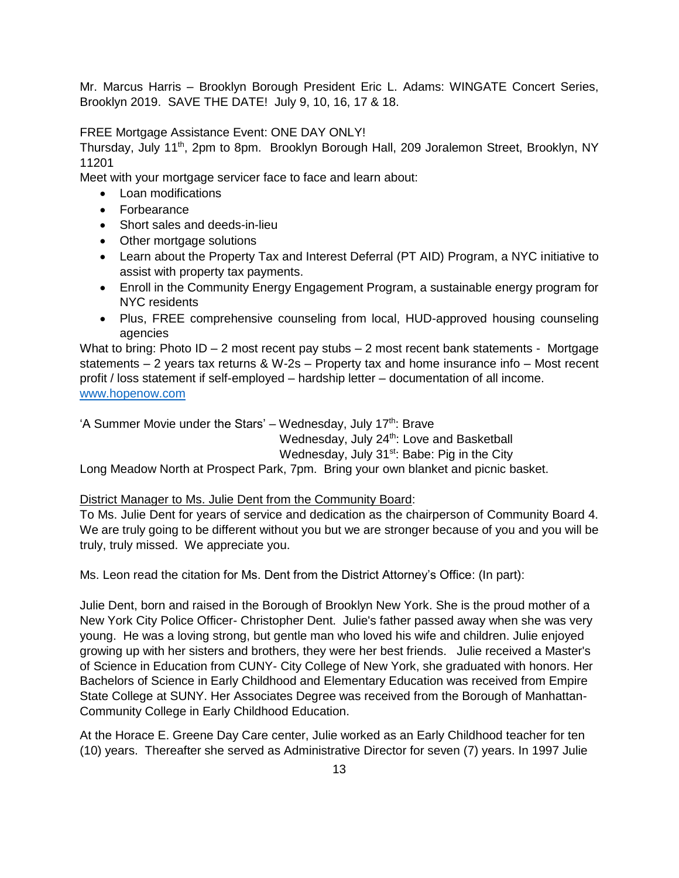Mr. Marcus Harris – Brooklyn Borough President Eric L. Adams: WINGATE Concert Series, Brooklyn 2019. SAVE THE DATE! July 9, 10, 16, 17 & 18.

FREE Mortgage Assistance Event: ONE DAY ONLY!

Thursday, July 11th, 2pm to 8pm. Brooklyn Borough Hall, 209 Joralemon Street, Brooklyn, NY 11201

Meet with your mortgage servicer face to face and learn about:

- Loan modifications
- Forbearance
- Short sales and deeds-in-lieu
- Other mortgage solutions
- Learn about the Property Tax and Interest Deferral (PT AID) Program, a NYC initiative to assist with property tax payments.
- Enroll in the Community Energy Engagement Program, a sustainable energy program for NYC residents
- Plus, FREE comprehensive counseling from local, HUD-approved housing counseling agencies

What to bring: Photo  $ID - 2$  most recent pay stubs  $- 2$  most recent bank statements - Mortgage statements – 2 years tax returns & W-2s – Property tax and home insurance info – Most recent profit / loss statement if self-employed – hardship letter – documentation of all income. [www.hopenow.com](http://www.hopenow.com/)

'A Summer Movie under the Stars' – Wednesday, July  $17<sup>th</sup>$ : Brave

Wednesday, July 24<sup>th</sup>: Love and Basketball

Wednesday, July 31<sup>st</sup>: Babe: Pig in the City

Long Meadow North at Prospect Park, 7pm. Bring your own blanket and picnic basket.

District Manager to Ms. Julie Dent from the Community Board:

To Ms. Julie Dent for years of service and dedication as the chairperson of Community Board 4. We are truly going to be different without you but we are stronger because of you and you will be truly, truly missed. We appreciate you.

Ms. Leon read the citation for Ms. Dent from the District Attorney's Office: (In part):

Julie Dent, born and raised in the Borough of Brooklyn New York. She is the proud mother of a New York City Police Officer- Christopher Dent. Julie's father passed away when she was very young. He was a loving strong, but gentle man who loved his wife and children. Julie enjoyed growing up with her sisters and brothers, they were her best friends. Julie received a Master's of Science in Education from CUNY- City College of New York, she graduated with honors. Her Bachelors of Science in Early Childhood and Elementary Education was received from Empire State College at SUNY. Her Associates Degree was received from the Borough of Manhattan-Community College in Early Childhood Education.

At the Horace E. Greene Day Care center, Julie worked as an Early Childhood teacher for ten (10) years. Thereafter she served as Administrative Director for seven (7) years. In 1997 Julie